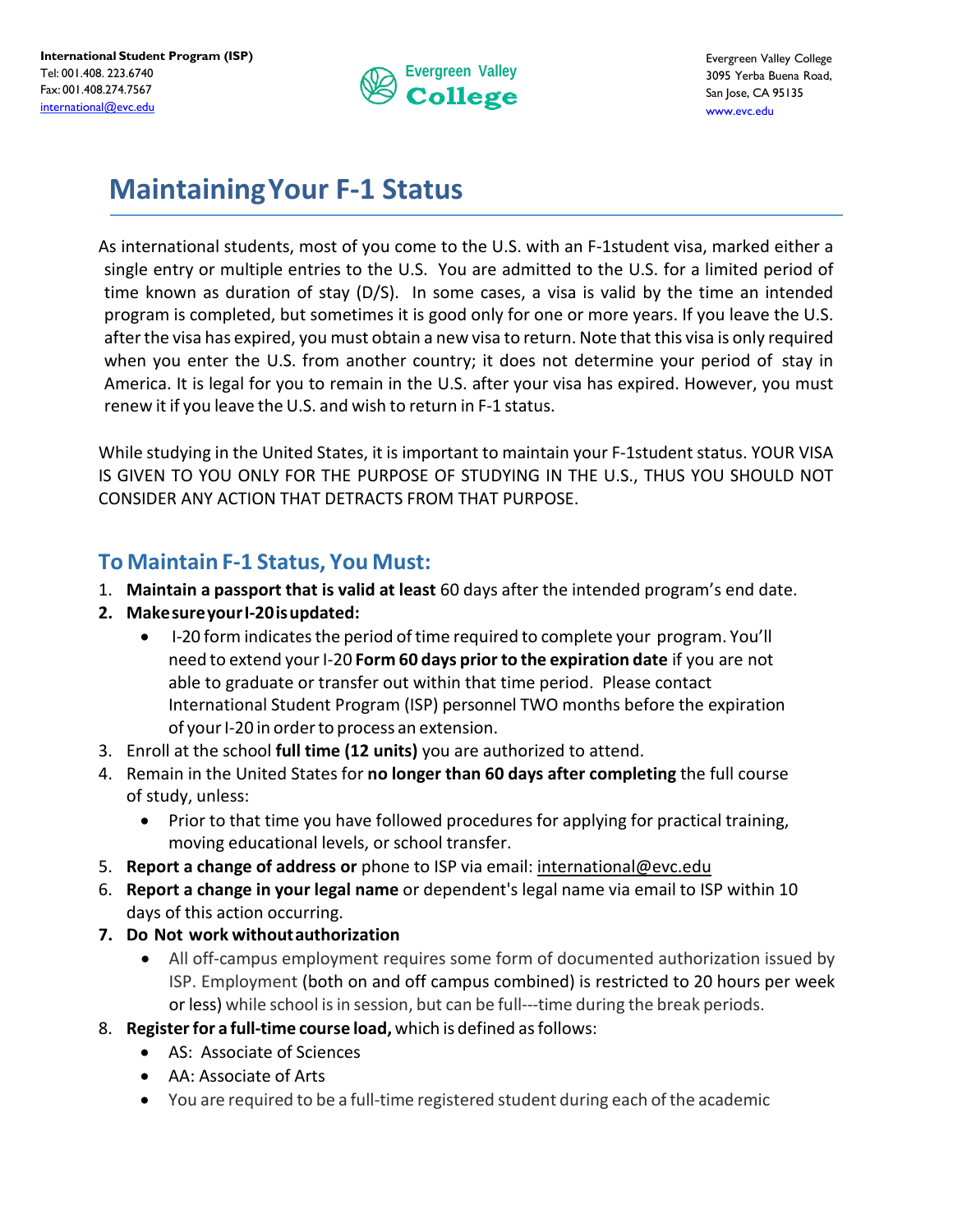

## **MaintainingYour F-1 Status**

As international students, most of you come to the U.S. with an F‐1student visa, marked either a single entry or multiple entries to the U.S. You are admitted to the U.S. for a limited period of time known as duration of stay (D/S). In some cases, a visa is valid by the time an intended program is completed, but sometimes it is good only for one or more years. If you leave the U.S. afterthe visa has expired, you must obtain a new visa to return. Note that this visa is only required when you enter the U.S. from another country; it does not determine your period of stay in America. It is legal for you to remain in the U.S. after your visa has expired. However, you must renew it if you leave the U.S. and wish to return in F-1 status.

While studying in the United States, it is important to maintain your F-1student status. YOUR VISA IS GIVEN TO YOU ONLY FOR THE PURPOSE OF STUDYING IN THE U.S., THUS YOU SHOULD NOT CONSIDER ANY ACTION THAT DETRACTS FROM THAT PURPOSE.

## **To Maintain F-1 Status, You Must:**

- 1. **Maintain a passport that is valid at least** 60 days after the intended program's end date.
- **2. MakesureyourI-20isupdated:**
	- I-20 form indicates the period of time required to complete your program. You'll need to extend yourI-20 **Form 60 days priorto the expiration date** if you are not able to graduate or transfer out within that time period. Please contact International Student Program (ISP) personnel TWO months before the expiration of your I-20 in order to process an extension.
- 3. Enroll at the school **full time (12 units)** you are authorized to attend.
- 4. Remain in the United States for **no longer than 60 days after completing** the full course of study, unless:
	- Prior to that time you have followed procedures for applying for practical training, moving educational levels, or school transfer.
- 5. **Report a change of address or** phone to ISP via email: [international@evc.edu](mailto:international@evc.edu)
- 6. **Report a change in your legal name** or dependent's legal name via email to ISP within 10 days of this action occurring.
- **7. Do Not work withoutauthorization**
	- All off-campus employment requires some form of documented authorization issued by ISP. Employment (both on and off campus combined) is restricted to 20 hours per week or less) while school is in session, but can be full---time during the break periods.
- 8. **Registerfor a full-time course load,** which is defined asfollows:
	- AS: Associate of Sciences
	- AA: Associate of Arts
	- You are required to be a full-time registered student during each of the academic